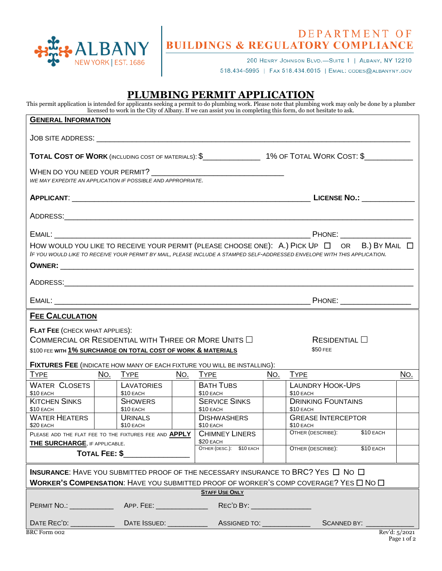

## DEPARTMENT OF<br>BUILDINGS & REGULATORY COMPLIANCE

200 HENRY JOHNSON BLVD.-SUITE 1 | ALBANY, NY 12210

518.434-5995 | FAX 518.434.6015 | EMAIL: CODES@ALBANYNY.GOV

## **PLUMBING PERMIT APPLICATION**

This permit application is intended for applicants seeking a permit to do plumbing work. Please note that plumbing work may only be done by a plumber licensed to work in the City of Albany. If we can assist you in completing this form, do not hesitate to ask.

| <b>GENERAL INFORMATION</b>                                                                                                                                                                                                           |  |                             |                          |                                                                                                              |                             |                                        |             |               |
|--------------------------------------------------------------------------------------------------------------------------------------------------------------------------------------------------------------------------------------|--|-----------------------------|--------------------------|--------------------------------------------------------------------------------------------------------------|-----------------------------|----------------------------------------|-------------|---------------|
|                                                                                                                                                                                                                                      |  |                             |                          |                                                                                                              |                             |                                        |             |               |
|                                                                                                                                                                                                                                      |  |                             |                          | TOTAL COST OF WORK (INCLUDING COST OF MATERIALS): \$_________________1% OF TOTAL WORK COST: \$______________ |                             |                                        |             |               |
| WE MAY EXPEDITE AN APPLICATION IF POSSIBLE AND APPROPRIATE.                                                                                                                                                                          |  |                             |                          |                                                                                                              |                             |                                        |             |               |
|                                                                                                                                                                                                                                      |  |                             |                          |                                                                                                              |                             |                                        |             |               |
|                                                                                                                                                                                                                                      |  |                             |                          |                                                                                                              |                             |                                        |             |               |
|                                                                                                                                                                                                                                      |  |                             |                          |                                                                                                              |                             |                                        |             |               |
| HOW WOULD YOU LIKE TO RECEIVE YOUR PERMIT (PLEASE CHOOSE ONE): A.) PICK UP $\Box$ OR B.) BY MAIL $\Box$<br>IF YOU WOULD LIKE TO RECEIVE YOUR PERMIT BY MAIL, PLEASE INCLUDE A STAMPED SELF-ADDRESSED ENVELOPE WITH THIS APPLICATION. |  |                             |                          |                                                                                                              |                             |                                        |             |               |
|                                                                                                                                                                                                                                      |  |                             |                          |                                                                                                              |                             |                                        |             |               |
|                                                                                                                                                                                                                                      |  |                             |                          |                                                                                                              |                             |                                        |             |               |
|                                                                                                                                                                                                                                      |  |                             |                          |                                                                                                              |                             |                                        |             |               |
| <b>FEE CALCULATION</b>                                                                                                                                                                                                               |  |                             |                          |                                                                                                              |                             |                                        |             |               |
| <b>FLAT FEE (CHECK WHAT APPLIES):</b><br>COMMERCIAL OR RESIDENTIAL WITH THREE OR MORE UNITS $\Box$<br>$ResIDENTIAL$ $\Box$                                                                                                           |  |                             |                          |                                                                                                              |                             |                                        |             |               |
| \$100 FEE WITH 1% SURCHARGE ON TOTAL COST OF WORK & MATERIALS                                                                                                                                                                        |  |                             |                          |                                                                                                              |                             | \$50 FEE                               |             |               |
| FIXTURES FEE (INDICATE HOW MANY OF EACH FIXTURE YOU WILL BE INSTALLING):                                                                                                                                                             |  |                             |                          |                                                                                                              |                             |                                        |             |               |
| <b>TYPE</b>                                                                                                                                                                                                                          |  | <u>NO. TYPE</u>             |                          | NO. TYPE                                                                                                     | No.                         | <b>TYPE</b>                            |             | No.           |
| <b>WATER CLOSETS</b><br>\$10 EACH                                                                                                                                                                                                    |  | LAVATORIES<br>\$10 EACH     |                          | <b>BATH TUBS</b><br>$$10$ EACH                                                                               |                             | <b>LAUNDRY HOOK-UPS</b><br>\$10 EACH   |             |               |
| <b>KITCHEN SINKS</b><br>\$10 EACH                                                                                                                                                                                                    |  | <b>SHOWERS</b><br>\$10 EACH |                          | <b>SERVICE SINKS</b><br>\$10 EACH                                                                            |                             | <b>DRINKING FOUNTAINS</b><br>\$10 EACH |             |               |
| <b>WATER HEATERS</b><br>\$20 EACH                                                                                                                                                                                                    |  | URINALS<br>\$10 EACH        |                          | <b>DISHWASHERS</b><br>\$10 EACH                                                                              |                             | <b>GREASE INTERCEPTOR</b><br>\$10 EACH |             |               |
| PLEASE ADD THE FLAT FEE TO THE FIXTURES FEE AND APPLY   CHIMNEY LINERS                                                                                                                                                               |  |                             | \$20 EACH                |                                                                                                              | OTHER (DESCRIBE): \$10 EACH |                                        |             |               |
| <b>THE SURCHARGE, IF APPLICABLE.</b><br><b>TOTAL FEE: \$</b>                                                                                                                                                                         |  |                             | OTHER (DESC.): \$10 EACH |                                                                                                              | OTHER (DESCRIBE):           | \$10 EACH                              |             |               |
| <b>INSURANCE:</b> HAVE YOU SUBMITTED PROOF OF THE NECESSARY INSURANCE TO BRC? YES $\Box$ No $\Box$<br><b>WORKER'S COMPENSATION:</b> HAVE YOU SUBMITTED PROOF OF WORKER'S COMP COVERAGE? YES $\square$ No $\square$                   |  |                             |                          |                                                                                                              |                             |                                        |             |               |
| <b>STAFF USE ONLY</b>                                                                                                                                                                                                                |  |                             |                          |                                                                                                              |                             |                                        |             |               |
|                                                                                                                                                                                                                                      |  |                             |                          | REC'D BY: ____________________                                                                               |                             |                                        |             |               |
|                                                                                                                                                                                                                                      |  |                             |                          |                                                                                                              |                             |                                        | SCANNED BY: |               |
| BRC Form 002                                                                                                                                                                                                                         |  |                             |                          |                                                                                                              |                             |                                        |             | Rev'd: 5/2021 |